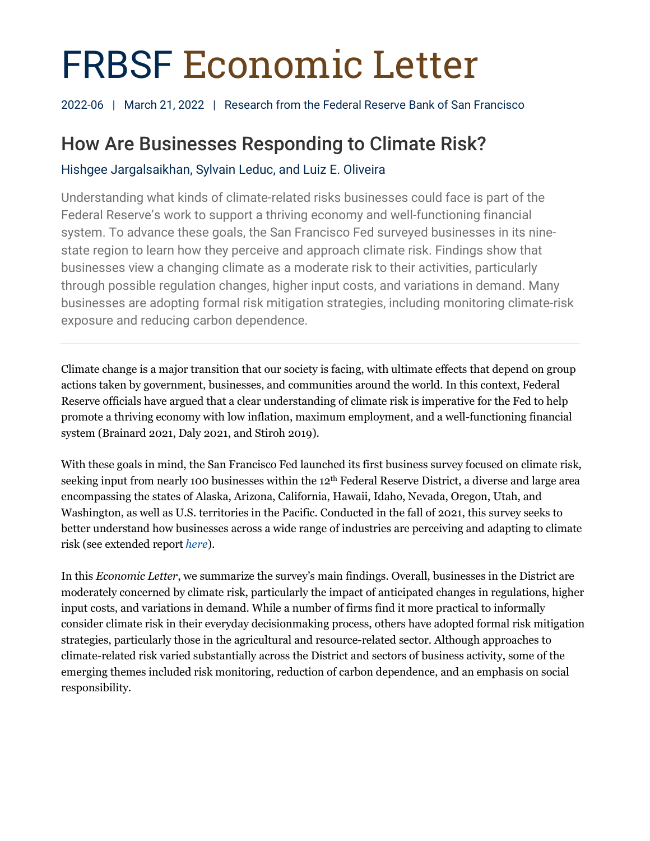# FRBSF Economic Letter

2022-06 | March 21, 2022 | Research from the Federal Reserve Bank of San Francisco

# How Are Businesses Responding to Climate Risk?

Hishgee Jargalsaikhan, Sylvain Leduc, and Luiz E. Oliveira

Understanding what kinds of climate-related risks businesses could face is part of the Federal Reserve's work to support a thriving economy and well-functioning financial system. To advance these goals, the San Francisco Fed surveyed businesses in its ninestate region to learn how they perceive and approach climate risk. Findings show that businesses view a changing climate as a moderate risk to their activities, particularly through possible regulation changes, higher input costs, and variations in demand. Many businesses are adopting formal risk mitigation strategies, including monitoring climate-risk exposure and reducing carbon dependence.

Climate change is a major transition that our society is facing, with ultimate effects that depend on group actions taken by government, businesses, and communities around the world. In this context, Federal Reserve officials have argued that a clear understanding of climate risk is imperative for the Fed to help promote a thriving economy with low inflation, maximum employment, and a well-functioning financial system (Brainard 2021, Daly 2021, and Stiroh 2019).

With these goals in mind, the San Francisco Fed launched its first business survey focused on climate risk, seeking input from nearly 100 businesses within the 12th Federal Reserve District, a diverse and large area encompassing the states of Alaska, Arizona, California, Hawaii, Idaho, Nevada, Oregon, Utah, and Washington, as well as U.S. territories in the Pacific. Conducted in the fall of 2021, this survey seeks to better understand how businesses across a wide range of industries are perceiving and adapting to climate risk (see extended report *[here](https://www.frbsf.org/economic-research/files/el2022-06-appendix.pdf)*).

In this *Economic Letter*, we summarize the survey's main findings. Overall, businesses in the District are moderately concerned by climate risk, particularly the impact of anticipated changes in regulations, higher input costs, and variations in demand. While a number of firms find it more practical to informally consider climate risk in their everyday decisionmaking process, others have adopted formal risk mitigation strategies, particularly those in the agricultural and resource-related sector. Although approaches to climate-related risk varied substantially across the District and sectors of business activity, some of the emerging themes included risk monitoring, reduction of carbon dependence, and an emphasis on social responsibility.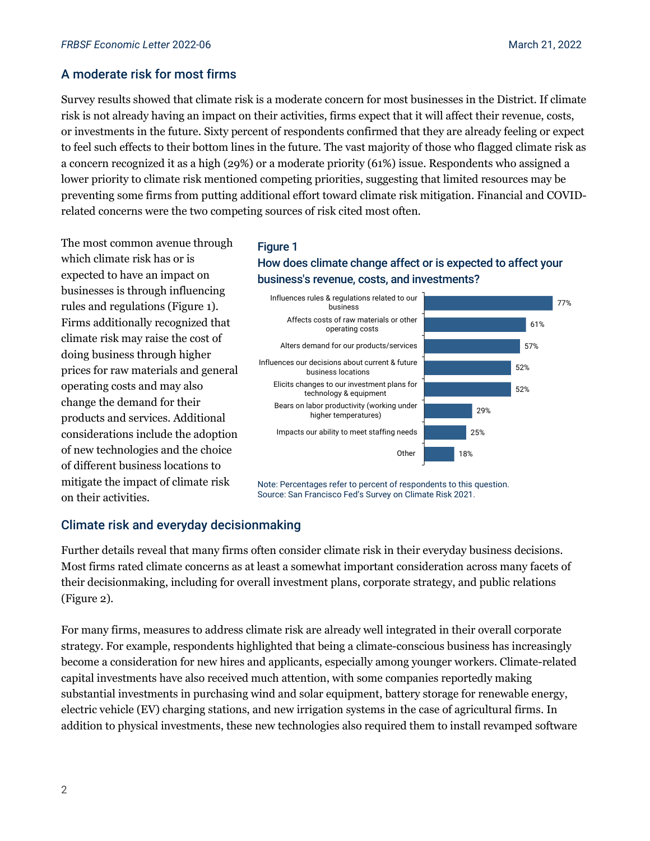# A moderate risk for most firms

Survey results showed that climate risk is a moderate concern for most businesses in the District. If climate risk is not already having an impact on their activities, firms expect that it will affect their revenue, costs, or investments in the future. Sixty percent of respondents confirmed that they are already feeling or expect to feel such effects to their bottom lines in the future. The vast majority of those who flagged climate risk as a concern recognized it as a high (29%) or a moderate priority (61%) issue. Respondents who assigned a lower priority to climate risk mentioned competing priorities, suggesting that limited resources may be preventing some firms from putting additional effort toward climate risk mitigation. Financial and COVIDrelated concerns were the two competing sources of risk cited most often.

The most common avenue through which climate risk has or is expected to have an impact on businesses is through influencing rules and regulations (Figure 1). Firms additionally recognized that climate risk may raise the cost of doing business through higher prices for raw materials and general operating costs and may also change the demand for their products and services. Additional considerations include the adoption of new technologies and the choice of different business locations to mitigate the impact of climate risk on their activities.

#### Figure 1

## How does climate change affect or is expected to affect your business's revenue, costs, and investments?



Note: Percentages refer to percent of respondents to this question. Source: San Francisco Fed's Survey on Climate Risk 2021.

# Climate risk and everyday decisionmaking

Further details reveal that many firms often consider climate risk in their everyday business decisions. Most firms rated climate concerns as at least a somewhat important consideration across many facets of their decisionmaking, including for overall investment plans, corporate strategy, and public relations (Figure 2).

For many firms, measures to address climate risk are already well integrated in their overall corporate strategy. For example, respondents highlighted that being a climate-conscious business has increasingly become a consideration for new hires and applicants, especially among younger workers. Climate-related capital investments have also received much attention, with some companies reportedly making substantial investments in purchasing wind and solar equipment, battery storage for renewable energy, electric vehicle (EV) charging stations, and new irrigation systems in the case of agricultural firms. In addition to physical investments, these new technologies also required them to install revamped software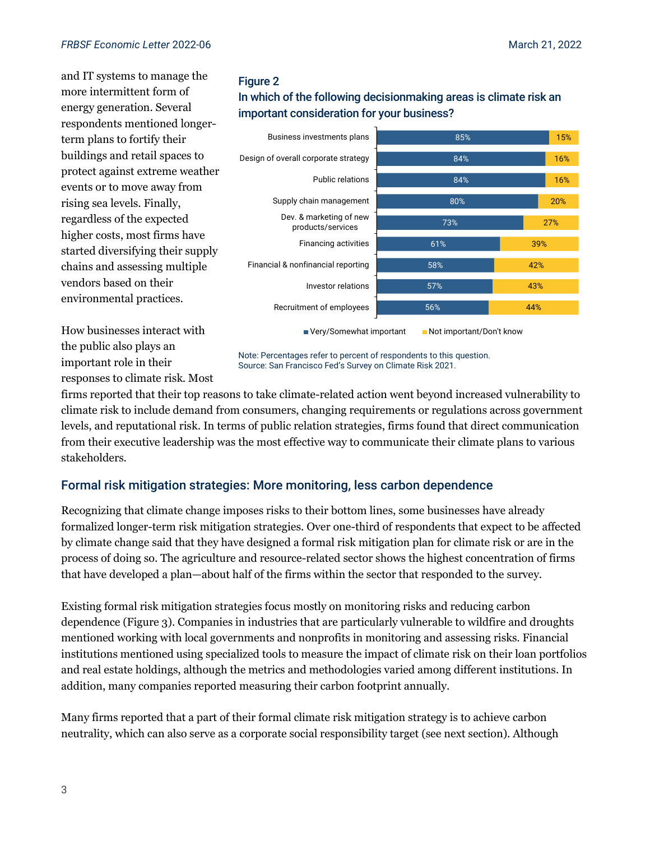and IT systems to manage the more intermittent form of energy generation. Several respondents mentioned longerterm plans to fortify their buildings and retail spaces to protect against extreme weather events or to move away from rising sea levels. Finally, regardless of the expected higher costs, most firms have started diversifying their supply chains and assessing multiple vendors based on their environmental practices.

## Figure 2

In which of the following decisionmaking areas is climate risk an important consideration for your business?



How businesses interact with the public also plays an important role in their responses to climate risk. Most

Note: Percentages refer to percent of respondents to this question. Source: San Francisco Fed's Survey on Climate Risk 2021.

firms reported that their top reasons to take climate-related action went beyond increased vulnerability to climate risk to include demand from consumers, changing requirements or regulations across government levels, and reputational risk. In terms of public relation strategies, firms found that direct communication from their executive leadership was the most effective way to communicate their climate plans to various stakeholders.

# Formal risk mitigation strategies: More monitoring, less carbon dependence

Recognizing that climate change imposes risks to their bottom lines, some businesses have already formalized longer-term risk mitigation strategies. Over one-third of respondents that expect to be affected by climate change said that they have designed a formal risk mitigation plan for climate risk or are in the process of doing so. The agriculture and resource-related sector shows the highest concentration of firms that have developed a plan—about half of the firms within the sector that responded to the survey.

Existing formal risk mitigation strategies focus mostly on monitoring risks and reducing carbon dependence (Figure 3). Companies in industries that are particularly vulnerable to wildfire and droughts mentioned working with local governments and nonprofits in monitoring and assessing risks. Financial institutions mentioned using specialized tools to measure the impact of climate risk on their loan portfolios and real estate holdings, although the metrics and methodologies varied among different institutions. In addition, many companies reported measuring their carbon footprint annually.

Many firms reported that a part of their formal climate risk mitigation strategy is to achieve carbon neutrality, which can also serve as a corporate social responsibility target (see next section). Although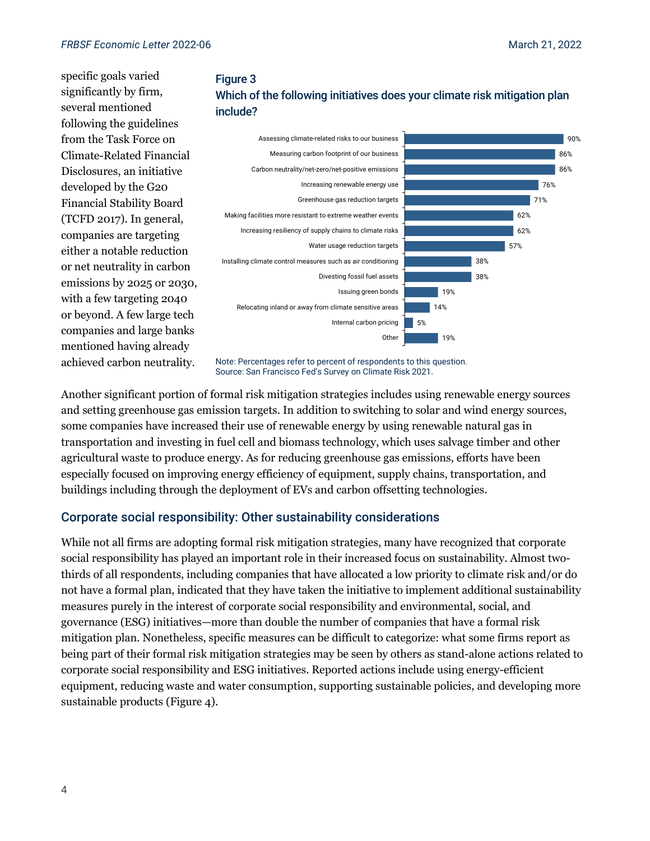specific goals varied significantly by firm, several mentioned following the guidelines from the Task Force on Climate-Related Financial Disclosures, an initiative developed by the G20 Financial Stability Board (TCFD 2017). In general, companies are targeting either a notable reduction or net neutrality in carbon emissions by 2025 or 2030, with a few targeting 2040 or beyond. A few large tech companies and large banks mentioned having already achieved carbon neutrality.





Note: Percentages refer to percent of respondents to this question. Source: San Francisco Fed's Survey on Climate Risk 2021.

Another significant portion of formal risk mitigation strategies includes using renewable energy sources and setting greenhouse gas emission targets. In addition to switching to solar and wind energy sources, some companies have increased their use of renewable energy by using renewable natural gas in transportation and investing in fuel cell and biomass technology, which uses salvage timber and other agricultural waste to produce energy. As for reducing greenhouse gas emissions, efforts have been especially focused on improving energy efficiency of equipment, supply chains, transportation, and buildings including through the deployment of EVs and carbon offsetting technologies.

#### Corporate social responsibility: Other sustainability considerations

While not all firms are adopting formal risk mitigation strategies, many have recognized that corporate social responsibility has played an important role in their increased focus on sustainability. Almost twothirds of all respondents, including companies that have allocated a low priority to climate risk and/or do not have a formal plan, indicated that they have taken the initiative to implement additional sustainability measures purely in the interest of corporate social responsibility and environmental, social, and governance (ESG) initiatives—more than double the number of companies that have a formal risk mitigation plan. Nonetheless, specific measures can be difficult to categorize: what some firms report as being part of their formal risk mitigation strategies may be seen by others as stand-alone actions related to corporate social responsibility and ESG initiatives. Reported actions include using energy-efficient equipment, reducing waste and water consumption, supporting sustainable policies, and developing more sustainable products (Figure 4).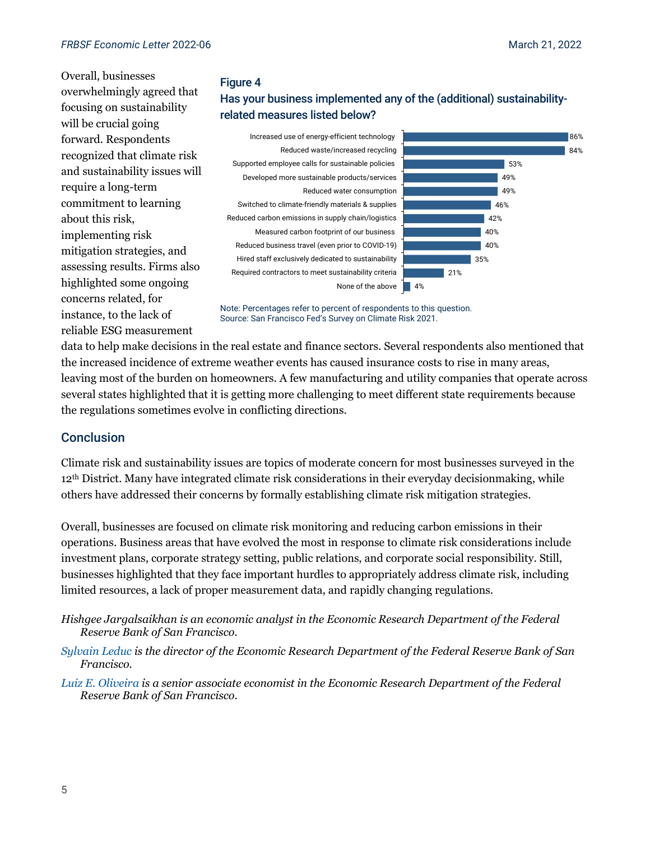Overall, businesses overwhelmingly agreed that focusing on sustainability will be crucial going forward. Respondents recognized that climate risk and sustainability issues will require a long-term commitment to learning about this risk, implementing risk mitigation strategies, and assessing results. Firms also highlighted some ongoing concerns related, for instance, to the lack of reliable ESG measurement

#### Figure 4

# Has your business implemented any of the (additional) sustainabilityrelated measures listed below?

Required contractors to meet sustainability criteria Hired staff exclusively dedicated to sustainability Reduced business travel (even prior to COVID-19) Measured carbon footprint of our business Reduced carbon emissions in supply chain/logistics Switched to climate-friendly materials & supplies Reduced water consumption Developed more sustainable products/services Supported employee calls for sustainable policies Reduced waste/increased recycling Increased use of energy-efficient technology



Note: Percentages refer to percent of respondents to this question. Source: San Francisco Fed's Survey on Climate Risk 2021.

data to help make decisions in the real estate and finance sectors. Several respondents also mentioned that the increased incidence of extreme weather events has caused insurance costs to rise in many areas, leaving most of the burden on homeowners. A few manufacturing and utility companies that operate across several states highlighted that it is getting more challenging to meet different state requirements because the regulations sometimes evolve in conflicting directions.

## **Conclusion**

Climate risk and sustainability issues are topics of moderate concern for most businesses surveyed in the 12<sup>th</sup> District. Many have integrated climate risk considerations in their everyday decisionmaking, while others have addressed their concerns by formally establishing climate risk mitigation strategies.

Overall, businesses are focused on climate risk monitoring and reducing carbon emissions in their operations. Business areas that have evolved the most in response to climate risk considerations include investment plans, corporate strategy setting, public relations, and corporate social responsibility. Still, businesses highlighted that they face important hurdles to appropriately address climate risk, including limited resources, a lack of proper measurement data, and rapidly changing regulations.

- *Hishgee Jargalsaikhan is an economic analyst in the Economic Research Department of the Federal Reserve Bank of San Francisco.*
- *[Sylvain Leduc](https://www.frbsf.org/economic-research/economists/sylvain-leduc/) is the director of the Economic Research Department of the Federal Reserve Bank of San Francisco.*
- *[Luiz E. Oliveira](https://www.frbsf.org/economic-research/economists/luiz-oliveira/) is a senior associate economist in the Economic Research Department of the Federal Reserve Bank of San Francisco.*